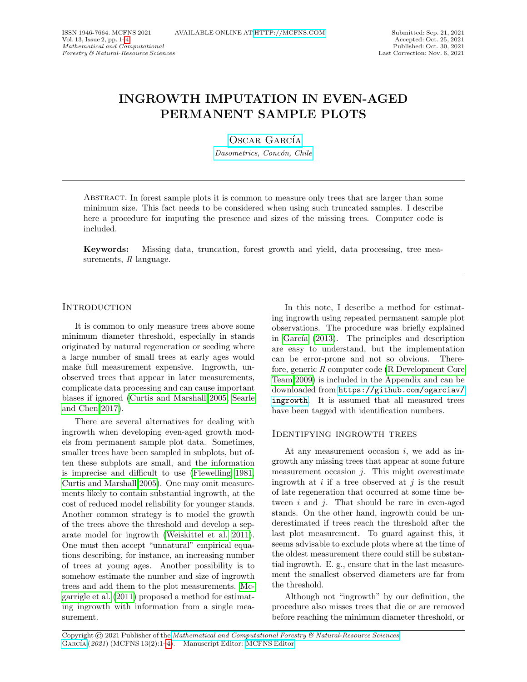# INGROWTH IMPUTATION IN EVEN-AGED PERMANENT SAMPLE PLOTS

OSCAR GARCÍA

Dasometrics, Concón, Chile

Abstract. In forest sample plots it is common to measure only trees that are larger than some minimum size. This fact needs to be considered when using such truncated samples. I describe here a procedure for imputing the presence and sizes of the missing trees. Computer code is included.

Keywords: Missing data, truncation, forest growth and yield, data processing, tree measurements,  $R$  language.

# **INTRODUCTION**

It is common to only measure trees above some minimum diameter threshold, especially in stands originated by natural regeneration or seeding where a large number of small trees at early ages would make full measurement expensive. Ingrowth, unobserved trees that appear in later measurements, complicate data processing and can cause important biases if ignored [\(Curtis and Marshall 2005,](#page-1-0) [Searle](#page-1-1) [and Chen 2017\)](#page-1-1).

There are several alternatives for dealing with ingrowth when developing even-aged growth models from permanent sample plot data. Sometimes, smaller trees have been sampled in subplots, but often these subplots are small, and the information is imprecise and difficult to use [\(Flewelling 1981,](#page-1-2) [Curtis and Marshall 2005\)](#page-1-0). One may omit measurements likely to contain substantial ingrowth, at the cost of reduced model reliability for younger stands. Another common strategy is to model the growth of the trees above the threshold and develop a separate model for ingrowth [\(Weiskittel et al. 2011\)](#page-1-3). One must then accept "unnatural" empirical equations describing, for instance, an increasing number of trees at young ages. Another possibility is to somehow estimate the number and size of ingrowth trees and add them to the plot measurements. [Mc](#page-1-4)[garrigle et al.](#page-1-4) [\(2011\)](#page-1-4) proposed a method for estimating ingrowth with information from a single measurement.

In this note, I describe a method for estimating ingrowth using repeated permanent sample plot observations. The procedure was briefly explained in García  $(2013)$ . The principles and description are easy to understand, but the implementation can be error-prone and not so obvious. Therefore, generic R computer code [\(R Development Core](#page-1-6) [Team 2009\)](#page-1-6) is included in the Appendix and can be downloaded from [https://github.com/ogarciav/](https://github.com/ogarciav/ingrowth) [ingrowth](https://github.com/ogarciav/ingrowth). It is assumed that all measured trees have been tagged with identification numbers.

# Identifying ingrowth trees

At any measurement occasion  $i$ , we add as ingrowth any missing trees that appear at some future measurement occasion  $j$ . This might overestimate ingrowth at  $i$  if a tree observed at  $j$  is the result of late regeneration that occurred at some time between  $i$  and  $j$ . That should be rare in even-aged stands. On the other hand, ingrowth could be underestimated if trees reach the threshold after the last plot measurement. To guard against this, it seems advisable to exclude plots where at the time of the oldest measurement there could still be substantial ingrowth. E. g., ensure that in the last measurement the smallest observed diameters are far from the threshold.

Although not "ingrowth" by our definition, the procedure also misses trees that die or are removed before reaching the minimum diameter threshold, or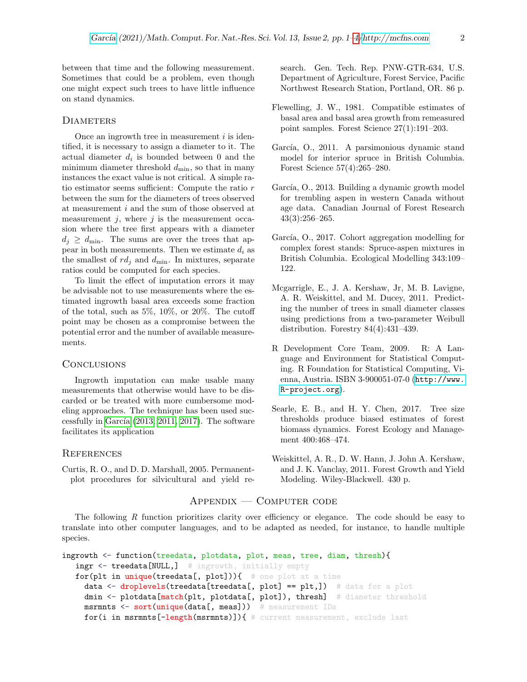between that time and the following measurement. Sometimes that could be a problem, even though one might expect such trees to have little influence on stand dynamics.

#### **DIAMETERS**

Once an ingrowth tree in measurement  $i$  is identified, it is necessary to assign a diameter to it. The actual diameter  $d_i$  is bounded between 0 and the minimum diameter threshold  $d_{\min}$ , so that in many instances the exact value is not critical. A simple ratio estimator seems sufficient: Compute the ratio r between the sum for the diameters of trees observed at measurement i and the sum of those observed at measurement  $i$ , where  $i$  is the measurement occasion where the tree first appears with a diameter  $d_i \geq d_{\min}$ . The sums are over the trees that appear in both measurements. Then we estimate  $d_i$  as the smallest of  $rd_j$  and  $d_{\min}$ . In mixtures, separate ratios could be computed for each species.

To limit the effect of imputation errors it may be advisable not to use measurements where the estimated ingrowth basal area exceeds some fraction of the total, such as 5%, 10%, or 20%. The cutoff point may be chosen as a compromise between the potential error and the number of available measurements.

## **CONCLUSIONS**

Ingrowth imputation can make usable many measurements that otherwise would have to be discarded or be treated with more cumbersome modeling approaches. The technique has been used successfully in García  $(2013, 2011, 2017)$  $(2013, 2011, 2017)$  $(2013, 2011, 2017)$ . The software facilitates its application

### **REFERENCES**

<span id="page-1-0"></span>Curtis, R. O., and D. D. Marshall, 2005. Permanentplot procedures for silvicultural and yield research. Gen. Tech. Rep. PNW-GTR-634, U.S. Department of Agriculture, Forest Service, Pacific Northwest Research Station, Portland, OR. 86 p.

- <span id="page-1-2"></span>Flewelling, J. W., 1981. Compatible estimates of basal area and basal area growth from remeasured point samples. Forest Science 27(1):191–203.
- <span id="page-1-7"></span>García, O., 2011. A parsimonious dynamic stand model for interior spruce in British Columbia. Forest Science 57(4):265–280.
- <span id="page-1-5"></span>García, O., 2013. Building a dynamic growth model for trembling aspen in western Canada without age data. Canadian Journal of Forest Research 43(3):256–265.
- <span id="page-1-8"></span>García, O., 2017. Cohort aggregation modelling for complex forest stands: Spruce-aspen mixtures in British Columbia. Ecological Modelling 343:109– 122.
- <span id="page-1-4"></span>Mcgarrigle, E., J. A. Kershaw, Jr, M. B. Lavigne, A. R. Weiskittel, and M. Ducey, 2011. Predicting the number of trees in small diameter classes using predictions from a two-parameter Weibull distribution. Forestry 84(4):431–439.
- <span id="page-1-6"></span>R Development Core Team, 2009. R: A Language and Environment for Statistical Computing. R Foundation for Statistical Computing, Vienna, Austria. ISBN 3-900051-07-0 ([http://www.](http://www.R-project.org) [R-project.org](http://www.R-project.org)).
- <span id="page-1-1"></span>Searle, E. B., and H. Y. Chen, 2017. Tree size thresholds produce biased estimates of forest biomass dynamics. Forest Ecology and Management 400:468–474.
- <span id="page-1-3"></span>Weiskittel, A. R., D. W. Hann, J. John A. Kershaw, and J. K. Vanclay, 2011. Forest Growth and Yield Modeling. Wiley-Blackwell. 430 p.

## Appendix — Computer code

The following R function prioritizes clarity over efficiency or elegance. The code should be easy to translate into other computer languages, and to be adapted as needed, for instance, to handle multiple species.

```
ingrowth <- function(treedata, plotdata, plot, meas, tree, diam, thresh){
   ingr <- treedata[NULL,] # ingrowth, initially empty
   for(plt in unique(treedata[, plot])){ # one plot at a time
     data <- droplevels(treedata[treedata[, plot] == plt,]) # data for a plot
     dmin <- plotdata[match(plt, plotdata[, plot]), thresh] # diameter threshold
     msrmnts <- sort(unique(data[, meas])) # measurement IDs
     for(i in msrmnts[-length(msrmnts)]){ # current measurement, exclude last
```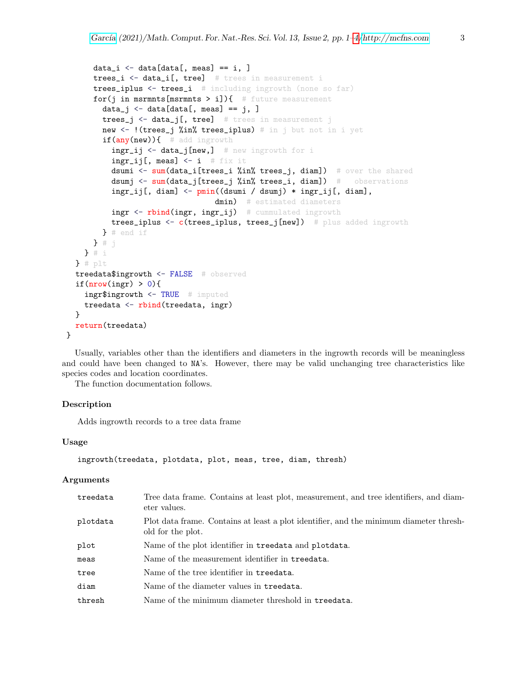```
data_i \leq data[data[, meas] == i, ]
    trees_i <- data_i[, tree] # trees in measurement i
    trees_iplus <- trees_i # including ingrowth (none so far)
    for(j in msrmnts[msrmnts > i]){ # future measurement
      data_j \leq data[data[, meas] == j, ]
      trees_j \leftarrow data_j[, tree] # trees in measurement j
      new <- !(trees_j %in% trees_iplus) # in j but not in i yet
      if(any(new)){ # add ingrowth
        ingr_ij <- data_j[new,] # new ingrowth for i
        ingr_i[j], meas] <- i # fix it
        dsumi <- sum(data_i[trees_i %in% trees_j, diam]) # over the shared
        dsumj <- sum(data_j[trees_j %in% trees_i, diam]) # observations
        ingr_ij[, diam] <- pmin((dsumi / dsumj) * ingr_ij[, diam],
                               dmin) # estimated diameters
        ingr <- rbind(ingr, ingr_ij) # cummulated ingrowth
        trees_iplus <- c(trees_iplus, trees_j[new]) # plus added ingrowth
      } # end if
    3 * j} # i
} # plt
treedata$ingrowth <- FALSE # observed
if(\text{nrow}(ingr) > 0){
  ingr$ingrowth <- TRUE # imputed
  treedata <- rbind(treedata, ingr)
}
return(treedata)
```
Usually, variables other than the identifiers and diameters in the ingrowth records will be meaningless and could have been changed to NA's. However, there may be valid unchanging tree characteristics like species codes and location coordinates.

The function documentation follows.

#### Description

Adds ingrowth records to a tree data frame

#### Usage

}

```
ingrowth(treedata, plotdata, plot, meas, tree, diam, thresh)
```
#### Arguments

| treedata | Tree data frame. Contains at least plot, measurement, and tree identifiers, and diam-<br>eter values.       |
|----------|-------------------------------------------------------------------------------------------------------------|
| plotdata | Plot data frame. Contains at least a plot identifier, and the minimum diameter thresh-<br>old for the plot. |
| plot     | Name of the plot identifier in treedata and plotdata.                                                       |
| meas     | Name of the measurement identifier in treedata.                                                             |
| tree     | Name of the tree identifier in treedata.                                                                    |
| diam     | Name of the diameter values in treedata.                                                                    |
| thresh   | Name of the minimum diameter threshold in treedata.                                                         |
|          |                                                                                                             |